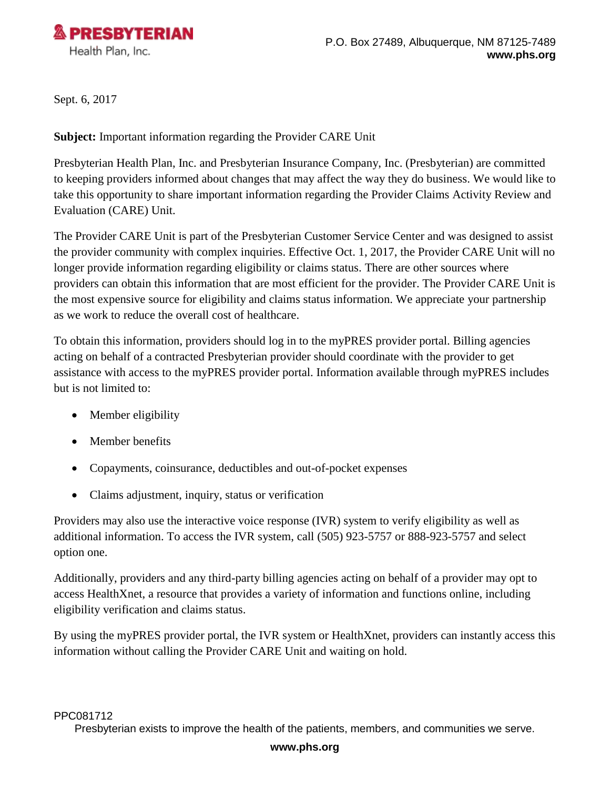

Sept. 6, 2017

**Subject:** Important information regarding the Provider CARE Unit

Presbyterian Health Plan, Inc. and Presbyterian Insurance Company, Inc. (Presbyterian) are committed to keeping providers informed about changes that may affect the way they do business. We would like to take this opportunity to share important information regarding the Provider Claims Activity Review and Evaluation (CARE) Unit.

The Provider CARE Unit is part of the Presbyterian Customer Service Center and was designed to assist the provider community with complex inquiries. Effective Oct. 1, 2017, the Provider CARE Unit will no longer provide information regarding eligibility or claims status. There are other sources where providers can obtain this information that are most efficient for the provider. The Provider CARE Unit is the most expensive source for eligibility and claims status information. We appreciate your partnership as we work to reduce the overall cost of healthcare.

To obtain this information, providers should log in to the myPRES provider portal. Billing agencies acting on behalf of a contracted Presbyterian provider should coordinate with the provider to get assistance with access to the myPRES provider portal. Information available through myPRES includes but is not limited to:

- Member eligibility
- Member benefits
- Copayments, coinsurance, deductibles and out-of-pocket expenses
- Claims adjustment, inquiry, status or verification

Providers may also use the interactive voice response (IVR) system to verify eligibility as well as additional information. To access the IVR system, call (505) 923-5757 or 888-923-5757 and select option one.

Additionally, providers and any third-party billing agencies acting on behalf of a provider may opt to access HealthXnet, a resource that provides a variety of information and functions online, including eligibility verification and claims status.

By using the myPRES provider portal, the IVR system or HealthXnet, providers can instantly access this information without calling the Provider CARE Unit and waiting on hold.

## **www.phs.org**